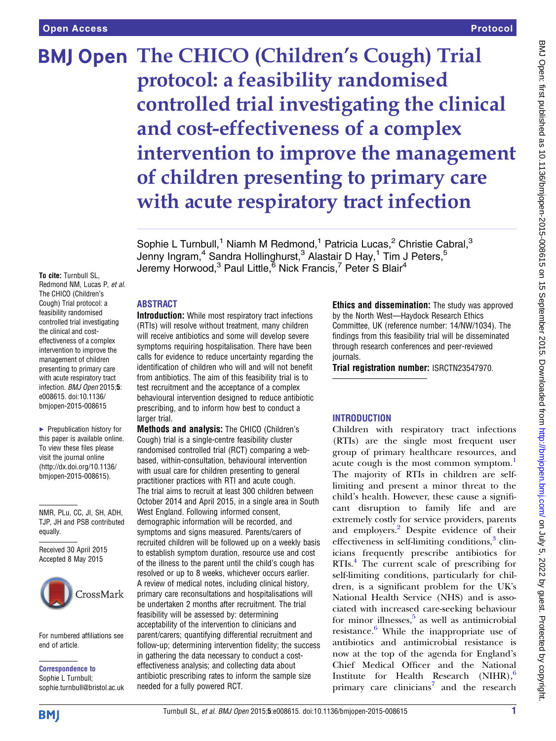# BMJ Open The CHICO (Children's Cough) Trial protocol: a feasibility randomised controlled trial investigating the clinical and cost-effectiveness of a complex intervention to improve the management of children presenting to primary care with acute respiratory tract infection

Sophie L Turnbull,<sup>1</sup> Niamh M Redmond,<sup>1</sup> Patricia Lucas,<sup>2</sup> Christie Cabral,<sup>3</sup> Jenny Ingram, $^4$  Sandra Hollinghurst, $^3$  Alastair D Hay, $^1$  Tim J Peters, $^5$ Jeremy Horwood,<sup>3</sup> Paul Little,<sup>6</sup> Nick Francis,<sup>7</sup> Peter S Blair<sup>4</sup>

To cite: Turnbull SL, Redmond NM, Lucas P, et al. The CHICO (Children's Cough) Trial protocol: a feasibility randomised controlled trial investigating the clinical and costeffectiveness of a complex intervention to improve the management of children presenting to primary care with acute respiratory tract infection. BMJ Open 2015;5: e008615. doi:10.1136/ bmjopen-2015-008615

▶ Prepublication history for this paper is available online. To view these files please visit the journal online [\(http://dx.doi.org/10.1136/](http://dx.doi.org/10.1136/bmjopen-2015-008615) [bmjopen-2015-008615](http://dx.doi.org/10.1136/bmjopen-2015-008615)).

NMR, PLu, CC, JI, SH, ADH, TJP, JH and PSB contributed equally.

Received 30 April 2015 Accepted 8 May 2015



For numbered affiliations see end of article.

Correspondence to Sophie L Turnbull; sophie.turnbull@bristol.ac.uk ABSTRACT

Introduction: While most respiratory tract infections (RTIs) will resolve without treatment, many children will receive antibiotics and some will develop severe symptoms requiring hospitalisation. There have been calls for evidence to reduce uncertainty regarding the identification of children who will and will not benefit from antibiotics. The aim of this feasibility trial is to test recruitment and the acceptance of a complex behavioural intervention designed to reduce antibiotic prescribing, and to inform how best to conduct a larger trial.

Methods and analysis: The CHICO (Children's Cough) trial is a single-centre feasibility cluster randomised controlled trial (RCT) comparing a webbased, within-consultation, behavioural intervention with usual care for children presenting to general practitioner practices with RTI and acute cough. The trial aims to recruit at least 300 children between October 2014 and April 2015, in a single area in South West England. Following informed consent, demographic information will be recorded, and symptoms and signs measured. Parents/carers of recruited children will be followed up on a weekly basis to establish symptom duration, resource use and cost of the illness to the parent until the child's cough has resolved or up to 8 weeks, whichever occurs earlier. A review of medical notes, including clinical history, primary care reconsultations and hospitalisations will be undertaken 2 months after recruitment. The trial feasibility will be assessed by: determining acceptability of the intervention to clinicians and parent/carers; quantifying differential recruitment and follow-up; determining intervention fidelity; the success in gathering the data necessary to conduct a costeffectiveness analysis; and collecting data about antibiotic prescribing rates to inform the sample size needed for a fully powered RCT.

Ethics and dissemination: The study was approved by the North West—Haydock Research Ethics Committee, UK (reference number: 14/NW/1034). The findings from this feasibility trial will be disseminated through research conferences and peer-reviewed journals.

Trial registration number: ISRCTN23547970.

# **INTRODUCTION**

Children with respiratory tract infections (RTIs) are the single most frequent user group of primary healthcare resources, and acute cough is the most common symptom.<sup>[1](#page-6-0)</sup> The majority of RTIs in children are selflimiting and present a minor threat to the child's health. However, these cause a significant disruption to family life and are extremely costly for service providers, parents and employers.[2](#page-6-0) Despite evidence of their effectiveness in self-limiting conditions, $3$  clinicians frequently prescribe antibiotics for RTIs.[4](#page-6-0) The current scale of prescribing for self-limiting conditions, particularly for children, is a significant problem for the UK's National Health Service (NHS) and is associated with increased care-seeking behaviour for minor illnesses, $5$  as well as antimicrobial resistance.<sup>[6](#page-6-0)</sup> While the inappropriate use of antibiotics and antimicrobial resistance is now at the top of the agenda for England's Chief Medical Officer and the National Institute for Health Research (NIHR), $^{\circ}$ primary care clinicians<sup>7</sup> and the research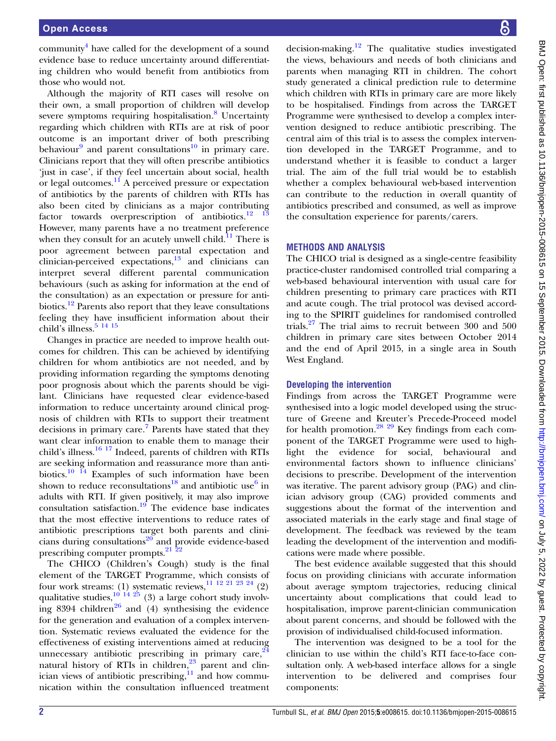community $\frac{4}{3}$  $\frac{4}{3}$  $\frac{4}{3}$  have called for the development of a sound evidence base to reduce uncertainty around differentiating children who would benefit from antibiotics from those who would not.

Although the majority of RTI cases will resolve on their own, a small proportion of children will develop severe symptoms requiring hospitalisation.<sup>[8](#page-6-0)</sup> Uncertainty regarding which children with RTIs are at risk of poor outcome is an important driver of both prescribing behaviour $\overline{9}$  $\overline{9}$  $\overline{9}$  and parent consultations<sup>[10](#page-6-0)</sup> in primary care. Clinicians report that they will often prescribe antibiotics 'just in case', if they feel uncertain about social, health or legal outcomes. $\frac{11}{1}$  $\frac{11}{1}$  $\frac{11}{1}$  A perceived pressure or expectation of antibiotics by the parents of children with RTIs has also been cited by clinicians as a major contributing factor towards overprescription of antibiotics. $12$ However, many parents have a no treatment preference when they consult for an acutely unwell child.<sup>[11](#page-6-0)</sup> There is poor agreement between parental expectation and clinician-perceived expectations,<sup>[13](#page-6-0)</sup> and clinicians can interpret several different parental communication behaviours (such as asking for information at the end of the consultation) as an expectation or pressure for antibiotics.[12](#page-6-0) Parents also report that they leave consultations feeling they have insufficient information about their child's illness.<sup>5 14 15</sup>

Changes in practice are needed to improve health outcomes for children. This can be achieved by identifying children for whom antibiotics are not needed, and by providing information regarding the symptoms denoting poor prognosis about which the parents should be vigilant. Clinicians have requested clear evidence-based information to reduce uncertainty around clinical prognosis of children with RTIs to support their treatment decisions in primary care.<sup>[7](#page-6-0)</sup> Parents have stated that they want clear information to enable them to manage their child's illness.[16 17](#page-6-0) Indeed, parents of children with RTIs are seeking information and reassurance more than anti-biotics.<sup>[10 14](#page-6-0)</sup> Examples of such information have been shown to reduce reconsultations<sup>[18](#page-6-0)</sup> and antibiotic use<sup>[6](#page-6-0)</sup> in adults with RTI. If given positively, it may also improve consultation satisfaction.<sup>[19](#page-6-0)</sup> The evidence base indicates that the most effective interventions to reduce rates of antibiotic prescriptions target both parents and clinicians during consultations $^{20}$  $^{20}$  $^{20}$  and provide evidence-based prescribing computer prompts.<sup>21</sup><sup>22</sup>

The CHICO (Children's Cough) study is the final element of the TARGET Programme, which consists of four work streams: (1) systematic reviews,  $^{11}$   $^{12}$   $^{21}$   $^{23}$   $^{24}$  (2) qualitative studies,  $10^{-14}$   $25$  (3) a large cohort study involv-ing 8394 children<sup>[26](#page-6-0)</sup> and (4) synthesising the evidence for the generation and evaluation of a complex intervention. Systematic reviews evaluated the evidence for the effectiveness of existing interventions aimed at reducing unnecessary antibiotic prescribing in primary care,  $24$ natural history of RTIs in children,<sup>[23](#page-6-0)</sup> parent and clin-ician views of antibiotic prescribing,<sup>[11](#page-6-0)</sup> and how communication within the consultation influenced treatment

decision-making.[12](#page-6-0) The qualitative studies investigated the views, behaviours and needs of both clinicians and parents when managing RTI in children. The cohort study generated a clinical prediction rule to determine which children with RTIs in primary care are more likely to be hospitalised. Findings from across the TARGET Programme were synthesised to develop a complex intervention designed to reduce antibiotic prescribing. The central aim of this trial is to assess the complex intervention developed in the TARGET Programme, and to understand whether it is feasible to conduct a larger trial. The aim of the full trial would be to establish whether a complex behavioural web-based intervention can contribute to the reduction in overall quantity of antibiotics prescribed and consumed, as well as improve the consultation experience for parents/carers.

#### METHODS AND ANALYSIS

The CHICO trial is designed as a single-centre feasibility practice-cluster randomised controlled trial comparing a web-based behavioural intervention with usual care for children presenting to primary care practices with RTI and acute cough. The trial protocol was devised according to the SPIRIT guidelines for randomised controlled trials[.27](#page-6-0) The trial aims to recruit between 300 and 500 children in primary care sites between October 2014 and the end of April 2015, in a single area in South West England.

#### Developing the intervention

Findings from across the TARGET Programme were synthesised into a logic model developed using the structure of Greene and Kreuter's Precede-Proceed model for health promotion.[28 29](#page-6-0) Key findings from each component of the TARGET Programme were used to highlight the evidence for social, behavioural and environmental factors shown to influence clinicians' decisions to prescribe. Development of the intervention was iterative. The parent advisory group (PAG) and clinician advisory group (CAG) provided comments and suggestions about the format of the intervention and associated materials in the early stage and final stage of development. The feedback was reviewed by the team leading the development of the intervention and modifications were made where possible.

The best evidence available suggested that this should focus on providing clinicians with accurate information about average symptom trajectories, reducing clinical uncertainty about complications that could lead to hospitalisation, improve parent-clinician communication about parent concerns, and should be followed with the provision of individualised child-focused information.

The intervention was designed to be a tool for the clinician to use within the child's RTI face-to-face consultation only. A web-based interface allows for a single intervention to be delivered and comprises four components: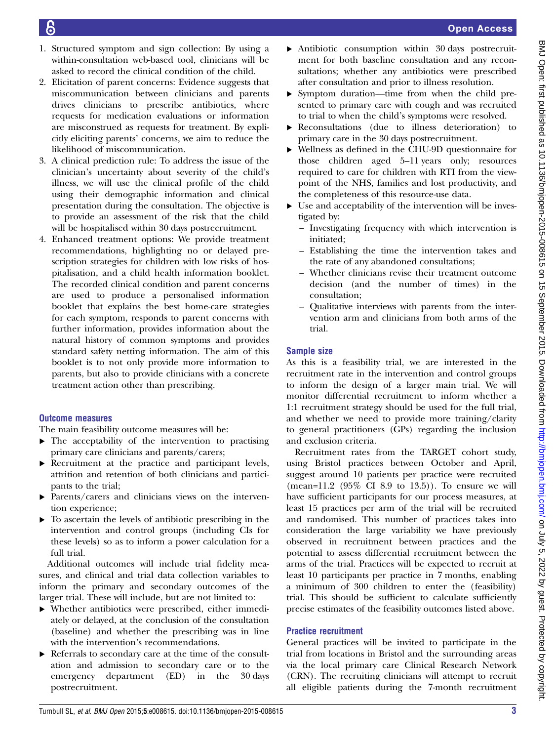- 
- 1. Structured symptom and sign collection: By using a within-consultation web-based tool, clinicians will be asked to record the clinical condition of the child.
- 2. Elicitation of parent concerns: Evidence suggests that miscommunication between clinicians and parents drives clinicians to prescribe antibiotics, where requests for medication evaluations or information are misconstrued as requests for treatment. By explicitly eliciting parents' concerns, we aim to reduce the likelihood of miscommunication.
- 3. A clinical prediction rule: To address the issue of the clinician's uncertainty about severity of the child's illness, we will use the clinical profile of the child using their demographic information and clinical presentation during the consultation. The objective is to provide an assessment of the risk that the child will be hospitalised within 30 days postrecruitment.
- 4. Enhanced treatment options: We provide treatment recommendations, highlighting no or delayed prescription strategies for children with low risks of hospitalisation, and a child health information booklet. The recorded clinical condition and parent concerns are used to produce a personalised information booklet that explains the best home-care strategies for each symptom, responds to parent concerns with further information, provides information about the natural history of common symptoms and provides standard safety netting information. The aim of this booklet is to not only provide more information to parents, but also to provide clinicians with a concrete treatment action other than prescribing.

# Outcome measures

The main feasibility outcome measures will be:

- $\blacktriangleright$  The acceptability of the intervention to practising primary care clinicians and parents/carers;
- ▸ Recruitment at the practice and participant levels, attrition and retention of both clinicians and participants to the trial;
- ▶ Parents/carers and clinicians views on the intervention experience;
- ▸ To ascertain the levels of antibiotic prescribing in the intervention and control groups (including CIs for these levels) so as to inform a power calculation for a full trial.

Additional outcomes will include trial fidelity measures, and clinical and trial data collection variables to inform the primary and secondary outcomes of the larger trial. These will include, but are not limited to:

- ▸ Whether antibiotics were prescribed, either immediately or delayed, at the conclusion of the consultation (baseline) and whether the prescribing was in line with the intervention's recommendations.
- ▸ Referrals to secondary care at the time of the consultation and admission to secondary care or to the emergency department (ED) in the 30 days postrecruitment.
- $\blacktriangleright$  Antibiotic consumption within 30 days postrecruitment for both baseline consultation and any reconsultations; whether any antibiotics were prescribed after consultation and prior to illness resolution.
- ▸ Symptom duration—time from when the child presented to primary care with cough and was recruited to trial to when the child's symptoms were resolved.
- ▸ Reconsultations (due to illness deterioration) to primary care in the 30 days postrecruitment.
- Wellness as defined in the CHU-9D questionnaire for those children aged 5–11 years only; resources required to care for children with RTI from the viewpoint of the NHS, families and lost productivity, and the completeness of this resource-use data.
- ▸ Use and acceptability of the intervention will be investigated by:
	- Investigating frequency with which intervention is initiated;
	- Establishing the time the intervention takes and the rate of any abandoned consultations;
	- Whether clinicians revise their treatment outcome decision (and the number of times) in the consultation;
	- Qualitative interviews with parents from the intervention arm and clinicians from both arms of the trial.

# Sample size

As this is a feasibility trial, we are interested in the recruitment rate in the intervention and control groups to inform the design of a larger main trial. We will monitor differential recruitment to inform whether a 1:1 recruitment strategy should be used for the full trial, and whether we need to provide more training/clarity to general practitioners (GPs) regarding the inclusion and exclusion criteria.

Recruitment rates from the TARGET cohort study, using Bristol practices between October and April, suggest around 10 patients per practice were recruited (mean=11.2 (95% CI 8.9 to 13.5)). To ensure we will have sufficient participants for our process measures, at least 15 practices per arm of the trial will be recruited and randomised. This number of practices takes into consideration the large variability we have previously observed in recruitment between practices and the potential to assess differential recruitment between the arms of the trial. Practices will be expected to recruit at least 10 participants per practice in 7 months, enabling a minimum of 300 children to enter the (feasibility) trial. This should be sufficient to calculate sufficiently precise estimates of the feasibility outcomes listed above.

# Practice recruitment

General practices will be invited to participate in the trial from locations in Bristol and the surrounding areas via the local primary care Clinical Research Network (CRN). The recruiting clinicians will attempt to recruit all eligible patients during the 7-month recruitment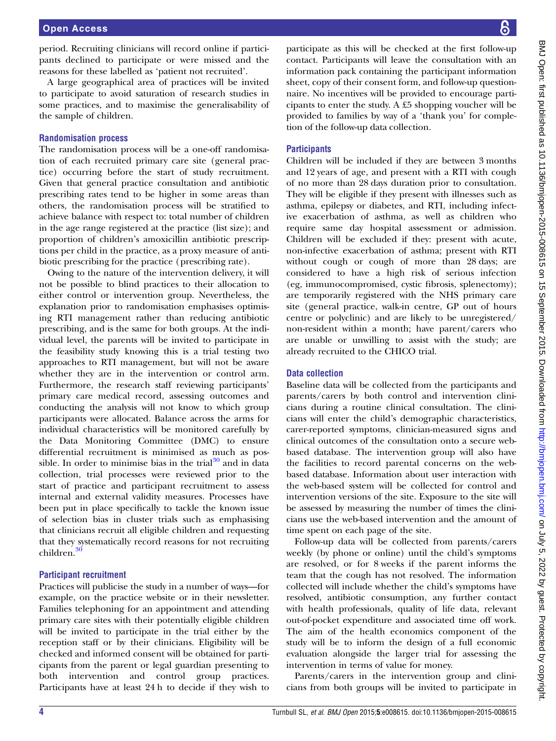period. Recruiting clinicians will record online if participants declined to participate or were missed and the reasons for these labelled as 'patient not recruited'.

A large geographical area of practices will be invited to participate to avoid saturation of research studies in some practices, and to maximise the generalisability of the sample of children.

### Randomisation process

The randomisation process will be a one-off randomisation of each recruited primary care site (general practice) occurring before the start of study recruitment. Given that general practice consultation and antibiotic prescribing rates tend to be higher in some areas than others, the randomisation process will be stratified to achieve balance with respect to: total number of children in the age range registered at the practice (list size); and proportion of children's amoxicillin antibiotic prescriptions per child in the practice, as a proxy measure of antibiotic prescribing for the practice (prescribing rate).

Owing to the nature of the intervention delivery, it will not be possible to blind practices to their allocation to either control or intervention group. Nevertheless, the explanation prior to randomisation emphasises optimising RTI management rather than reducing antibiotic prescribing, and is the same for both groups. At the individual level, the parents will be invited to participate in the feasibility study knowing this is a trial testing two approaches to RTI management, but will not be aware whether they are in the intervention or control arm. Furthermore, the research staff reviewing participants' primary care medical record, assessing outcomes and conducting the analysis will not know to which group participants were allocated. Balance across the arms for individual characteristics will be monitored carefully by the Data Monitoring Committee (DMC) to ensure differential recruitment is minimised as much as possible. In order to minimise bias in the trial $30$  and in data collection, trial processes were reviewed prior to the start of practice and participant recruitment to assess internal and external validity measures. Processes have been put in place specifically to tackle the known issue of selection bias in cluster trials such as emphasising that clinicians recruit all eligible children and requesting that they systematically record reasons for not recruiting children.[30](#page-6-0)

### Participant recruitment

Practices will publicise the study in a number of ways—for example, on the practice website or in their newsletter. Families telephoning for an appointment and attending primary care sites with their potentially eligible children will be invited to participate in the trial either by the reception staff or by their clinicians. Eligibility will be checked and informed consent will be obtained for participants from the parent or legal guardian presenting to both intervention and control group practices. Participants have at least 24 h to decide if they wish to

participate as this will be checked at the first follow-up contact. Participants will leave the consultation with an information pack containing the participant information sheet, copy of their consent form, and follow-up questionnaire. No incentives will be provided to encourage participants to enter the study. A £5 shopping voucher will be provided to families by way of a 'thank you' for completion of the follow-up data collection.

# **Participants**

Children will be included if they are between 3 months and 12 years of age, and present with a RTI with cough of no more than 28 days duration prior to consultation. They will be eligible if they present with illnesses such as asthma, epilepsy or diabetes, and RTI, including infective exacerbation of asthma, as well as children who require same day hospital assessment or admission. Children will be excluded if they: present with acute, non-infective exacerbation of asthma; present with RTI without cough or cough of more than 28 days; are considered to have a high risk of serious infection (eg, immunocompromised, cystic fibrosis, splenectomy); are temporarily registered with the NHS primary care site (general practice, walk-in centre, GP out of hours centre or polyclinic) and are likely to be unregistered/ non-resident within a month; have parent/carers who are unable or unwilling to assist with the study; are already recruited to the CHICO trial.

# Data collection

Baseline data will be collected from the participants and parents/carers by both control and intervention clinicians during a routine clinical consultation. The clinicians will enter the child's demographic characteristics, carer-reported symptoms, clinician-measured signs and clinical outcomes of the consultation onto a secure webbased database. The intervention group will also have the facilities to record parental concerns on the webbased database. Information about user interaction with the web-based system will be collected for control and intervention versions of the site. Exposure to the site will be assessed by measuring the number of times the clinicians use the web-based intervention and the amount of time spent on each page of the site.

Follow-up data will be collected from parents/carers weekly (by phone or online) until the child's symptoms are resolved, or for 8 weeks if the parent informs the team that the cough has not resolved. The information collected will include whether the child's symptoms have resolved, antibiotic consumption, any further contact with health professionals, quality of life data, relevant out-of-pocket expenditure and associated time off work. The aim of the health economics component of the study will be to inform the design of a full economic evaluation alongside the larger trial for assessing the intervention in terms of value for money.

Parents/carers in the intervention group and clinicians from both groups will be invited to participate in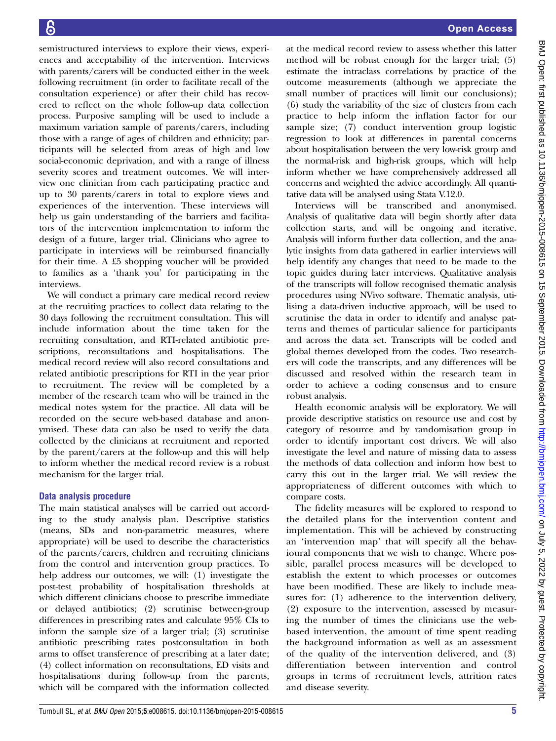semistructured interviews to explore their views, experiences and acceptability of the intervention. Interviews with parents/carers will be conducted either in the week following recruitment (in order to facilitate recall of the consultation experience) or after their child has recovered to reflect on the whole follow-up data collection process. Purposive sampling will be used to include a maximum variation sample of parents/carers, including those with a range of ages of children and ethnicity; participants will be selected from areas of high and low social-economic deprivation, and with a range of illness severity scores and treatment outcomes. We will interview one clinician from each participating practice and up to 30 parents/carers in total to explore views and experiences of the intervention. These interviews will help us gain understanding of the barriers and facilitators of the intervention implementation to inform the design of a future, larger trial. Clinicians who agree to participate in interviews will be reimbursed financially for their time. A £5 shopping voucher will be provided to families as a 'thank you' for participating in the interviews.

We will conduct a primary care medical record review at the recruiting practices to collect data relating to the 30 days following the recruitment consultation. This will include information about the time taken for the recruiting consultation, and RTI-related antibiotic prescriptions, reconsultations and hospitalisations. The medical record review will also record consultations and related antibiotic prescriptions for RTI in the year prior to recruitment. The review will be completed by a member of the research team who will be trained in the medical notes system for the practice. All data will be recorded on the secure web-based database and anonymised. These data can also be used to verify the data collected by the clinicians at recruitment and reported by the parent/carers at the follow-up and this will help to inform whether the medical record review is a robust mechanism for the larger trial.

# Data analysis procedure

The main statistical analyses will be carried out according to the study analysis plan. Descriptive statistics (means, SDs and non-parametric measures, where appropriate) will be used to describe the characteristics of the parents/carers, children and recruiting clinicians from the control and intervention group practices. To help address our outcomes, we will: (1) investigate the post-test probability of hospitalisation thresholds at which different clinicians choose to prescribe immediate or delayed antibiotics; (2) scrutinise between-group differences in prescribing rates and calculate 95% CIs to inform the sample size of a larger trial; (3) scrutinise antibiotic prescribing rates postconsultation in both arms to offset transference of prescribing at a later date; (4) collect information on reconsultations, ED visits and hospitalisations during follow-up from the parents, which will be compared with the information collected

at the medical record review to assess whether this latter method will be robust enough for the larger trial; (5) estimate the intraclass correlations by practice of the outcome measurements (although we appreciate the small number of practices will limit our conclusions); (6) study the variability of the size of clusters from each practice to help inform the inflation factor for our sample size; (7) conduct intervention group logistic regression to look at differences in parental concerns about hospitalisation between the very low-risk group and the normal-risk and high-risk groups, which will help inform whether we have comprehensively addressed all concerns and weighted the advice accordingly. All quantitative data will be analysed using Stata V.12.0.

Interviews will be transcribed and anonymised. Analysis of qualitative data will begin shortly after data collection starts, and will be ongoing and iterative. Analysis will inform further data collection, and the analytic insights from data gathered in earlier interviews will help identify any changes that need to be made to the topic guides during later interviews. Qualitative analysis of the transcripts will follow recognised thematic analysis procedures using NVivo software. Thematic analysis, utilising a data-driven inductive approach, will be used to scrutinise the data in order to identify and analyse patterns and themes of particular salience for participants and across the data set. Transcripts will be coded and global themes developed from the codes. Two researchers will code the transcripts, and any differences will be discussed and resolved within the research team in order to achieve a coding consensus and to ensure robust analysis.

Health economic analysis will be exploratory. We will provide descriptive statistics on resource use and cost by category of resource and by randomisation group in order to identify important cost drivers. We will also investigate the level and nature of missing data to assess the methods of data collection and inform how best to carry this out in the larger trial. We will review the appropriateness of different outcomes with which to compare costs.

The fidelity measures will be explored to respond to the detailed plans for the intervention content and implementation. This will be achieved by constructing an 'intervention map' that will specify all the behavioural components that we wish to change. Where possible, parallel process measures will be developed to establish the extent to which processes or outcomes have been modified. These are likely to include measures for: (1) adherence to the intervention delivery, (2) exposure to the intervention, assessed by measuring the number of times the clinicians use the webbased intervention, the amount of time spent reading the background information as well as an assessment of the quality of the intervention delivered, and (3) differentiation between intervention and control groups in terms of recruitment levels, attrition rates and disease severity.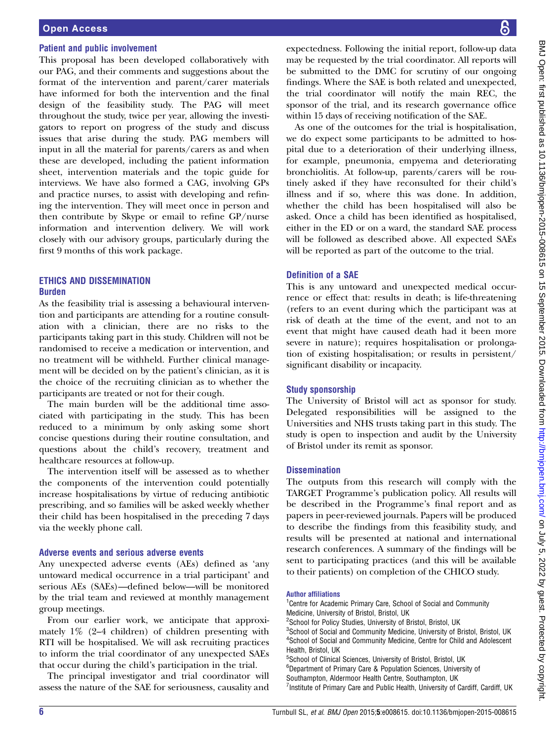# Open Access

#### Patient and public involvement

This proposal has been developed collaboratively with our PAG, and their comments and suggestions about the format of the intervention and parent/carer materials have informed for both the intervention and the final design of the feasibility study. The PAG will meet throughout the study, twice per year, allowing the investigators to report on progress of the study and discuss issues that arise during the study. PAG members will input in all the material for parents/carers as and when these are developed, including the patient information sheet, intervention materials and the topic guide for interviews. We have also formed a CAG, involving GPs and practice nurses, to assist with developing and refining the intervention. They will meet once in person and then contribute by Skype or email to refine GP/nurse information and intervention delivery. We will work closely with our advisory groups, particularly during the first 9 months of this work package.

#### ETHICS AND DISSEMINATION Burden

As the feasibility trial is assessing a behavioural intervention and participants are attending for a routine consultation with a clinician, there are no risks to the participants taking part in this study. Children will not be randomised to receive a medication or intervention, and no treatment will be withheld. Further clinical management will be decided on by the patient's clinician, as it is the choice of the recruiting clinician as to whether the participants are treated or not for their cough.

The main burden will be the additional time associated with participating in the study. This has been reduced to a minimum by only asking some short concise questions during their routine consultation, and questions about the child's recovery, treatment and healthcare resources at follow-up.

The intervention itself will be assessed as to whether the components of the intervention could potentially increase hospitalisations by virtue of reducing antibiotic prescribing, and so families will be asked weekly whether their child has been hospitalised in the preceding 7 days via the weekly phone call.

#### Adverse events and serious adverse events

Any unexpected adverse events (AEs) defined as 'any untoward medical occurrence in a trial participant' and serious AEs (SAEs)—defined below—will be monitored by the trial team and reviewed at monthly management group meetings.

From our earlier work, we anticipate that approximately 1% (2–4 children) of children presenting with RTI will be hospitalised. We will ask recruiting practices to inform the trial coordinator of any unexpected SAEs that occur during the child's participation in the trial.

The principal investigator and trial coordinator will assess the nature of the SAE for seriousness, causality and

expectedness. Following the initial report, follow-up data may be requested by the trial coordinator. All reports will be submitted to the DMC for scrutiny of our ongoing findings. Where the SAE is both related and unexpected, the trial coordinator will notify the main REC, the sponsor of the trial, and its research governance office within 15 days of receiving notification of the SAE.

As one of the outcomes for the trial is hospitalisation, we do expect some participants to be admitted to hospital due to a deterioration of their underlying illness, for example, pneumonia, empyema and deteriorating bronchiolitis. At follow-up, parents/carers will be routinely asked if they have reconsulted for their child's illness and if so, where this was done. In addition, whether the child has been hospitalised will also be asked. Once a child has been identified as hospitalised, either in the ED or on a ward, the standard SAE process will be followed as described above. All expected SAEs will be reported as part of the outcome to the trial.

#### Definition of a SAE

This is any untoward and unexpected medical occurrence or effect that: results in death; is life-threatening (refers to an event during which the participant was at risk of death at the time of the event, and not to an event that might have caused death had it been more severe in nature); requires hospitalisation or prolongation of existing hospitalisation; or results in persistent/ significant disability or incapacity.

#### Study sponsorship

The University of Bristol will act as sponsor for study. Delegated responsibilities will be assigned to the Universities and NHS trusts taking part in this study. The study is open to inspection and audit by the University of Bristol under its remit as sponsor.

#### **Dissemination**

The outputs from this research will comply with the TARGET Programme's publication policy. All results will be described in the Programme's final report and as papers in peer-reviewed journals. Papers will be produced to describe the findings from this feasibility study, and results will be presented at national and international research conferences. A summary of the findings will be sent to participating practices (and this will be available to their patients) on completion of the CHICO study.

#### Author affiliations

<sup>1</sup> Centre for Academic Primary Care, School of Social and Community Medicine, University of Bristol, Bristol, UK <sup>2</sup>School for Policy Studies, University of Bristol, Bristol, UK <sup>3</sup>School of Social and Community Medicine, University of Bristol, Bristol, UK

4 School of Social and Community Medicine, Centre for Child and Adolescent Health, Bristol, UK 5 School of Clinical Sciences, University of Bristol, Bristol, UK

6 Department of Primary Care & Population Sciences, University of

Southampton, Aldermoor Health Centre, Southampton, UK

<sup>7</sup> Institute of Primary Care and Public Health, University of Cardiff, Cardiff, UK